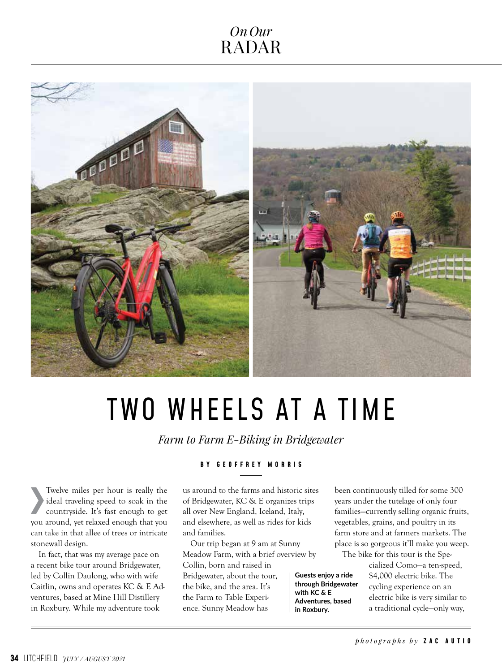### *OnOur* RADAR



# TWO WHEELS AT A TIME

*Farm to Farm E-Biking in Bridgewater*

**B Y G E O F F R E Y M O R R I S** 

› Twelve miles per hour is really the ideal traveling speed to soak in the countryside. It's fast enough to get you around, yet relaxed enough that you can take in that allee of trees or intricate stonewall design.

In fact, that was my average pace on a recent bike tour around Bridgewater, led by Collin Daulong, who with wife Caitlin, owns and operates KC & E Adventures, based at Mine Hill Distillery in Roxbury. While my adventure took

#### us around to the farms and historic sites of Bridgewater, KC & E organizes trips all over New England, Iceland, Italy, and elsewhere, as well as rides for kids

and families. Our trip began at 9 am at Sunny Meadow Farm, with a brief overview by Collin, born and raised in Bridgewater, about the tour, the bike, and the area. It's the Farm to Table Experience. Sunny Meadow has **Guests enjoy a ride through Bridgewater with KC & E Adventures, based in Roxbury.** 

been continuously tilled for some 300 years under the tutelage of only four families—currently selling organic fruits, vegetables, grains, and poultry in its farm store and at farmers markets. The place is so gorgeous it'll make you weep.

The bike for this tour is the Spe-

cialized Como—a ten-speed, \$4,000 electric bike. The cycling experience on an electric bike is very similar to a traditional cycle—only way,